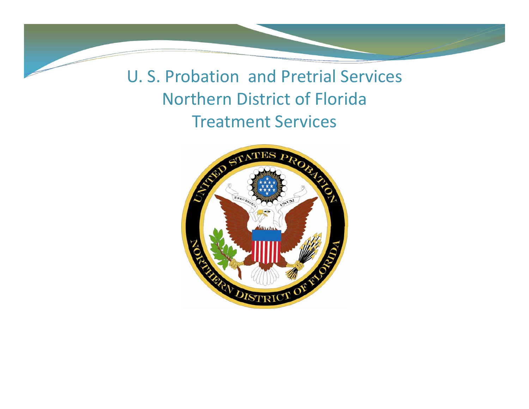U. S. Probation and Pretrial Services Northern District of Florida Treatment Services

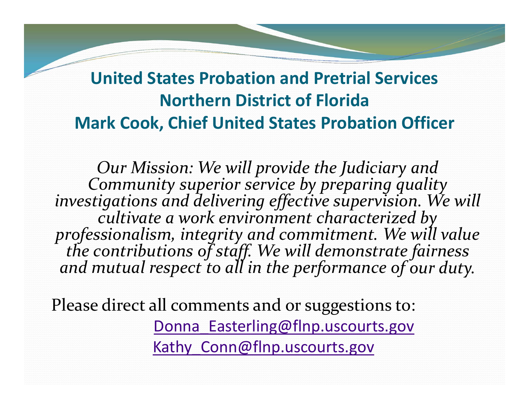#### **United States Probation and Pretrial Services Northern District of Florida Mark Cook, Chief United States Probation Officer**

*Our Mission: We will provide the Judiciary and Community superior service by preparing quality investigations and delivering effective supervision. We will cultivate a work environment characterized by professionalism, integrity and commitment. We will value thecontributions* of *staff.* We will demonstrate fairness *mutual respec<sup>t</sup> to all in the performance of our duty.*

Please direct all comments and or suggestions to: Donna Easterling@flnp.uscourts.gov Kathy Conn@flnp.uscourts.gov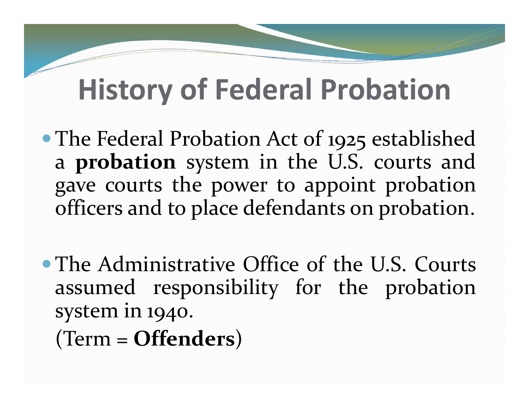### **History of Federal Probation**

• The Federal Probation Act of 1925 established a **probation** system in the U.S. courts and gave courts the power to appoint probation officers and to place defendants on probation.

The Administrative Office of the U.S. Courts assumed responsibility for the probation system in 1940.

(Term <sup>=</sup> **Offenders**)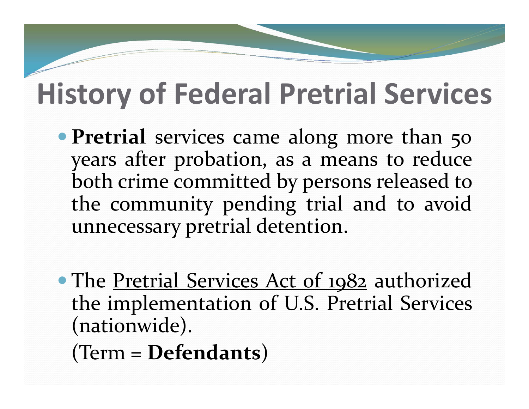## **History of Federal Pretrial Services**

- **Pretrial** services came along more than 50 years after probation, as <sup>a</sup> means to reduce both crime committed by persons released to the community pending trial and to avoid unnecessary pretrial detention.
- The Pretrial Services Act of 1982 authorized the implementation of U.S. Pretrial Services (nationwide).

(Term <sup>=</sup> **Defendants**)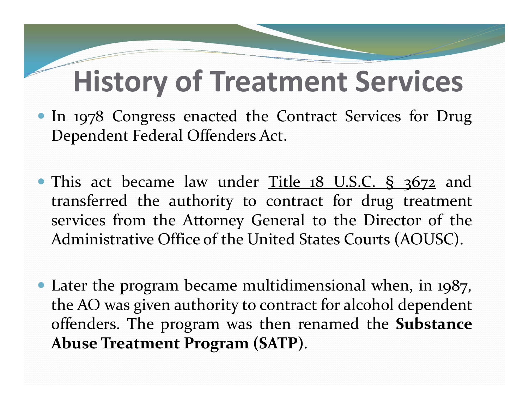### **History of Treatment Services**

- In 197<sup>8</sup> Congress enacted the Contract Services for Drug Dependent Federal Offenders Act.
- This act became law under <u>Title 18 U.S.C. § 3672</u> and transferred the authority to contract for drug treatment services from the Attorney General to the Director of the Administrative Office of the United States Courts (AOUSC).
- Later the program became multidimensional when, in 1987, the AO was given authority to contract for alcohol dependent offenders. The program was then renamed the **Substance Abuse Treatment Program (SATP)**.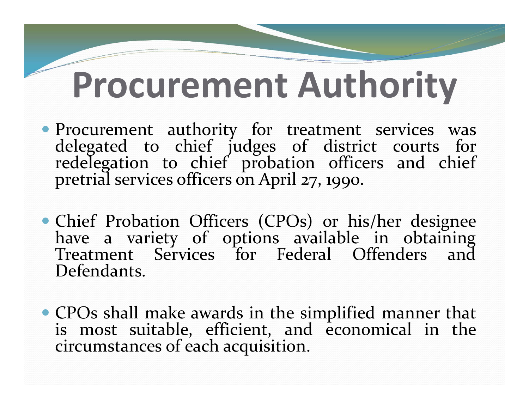## **Procurement Authority**

- Procurement authority for treatment services was delegated to chief judges of district courts for redelegation to chief probation officers and chief pretrial services officers on April 27, 1990.
- Chief Probation Officers (CPOs) or his/her designee have <sup>a</sup> variety of options available in obtaining Treatment Services for Federal Offenders and Defendants.
- CPOs shall make awards in the simplified manner that is most suitable, efficient, and economical in the circumstances of each acquisition.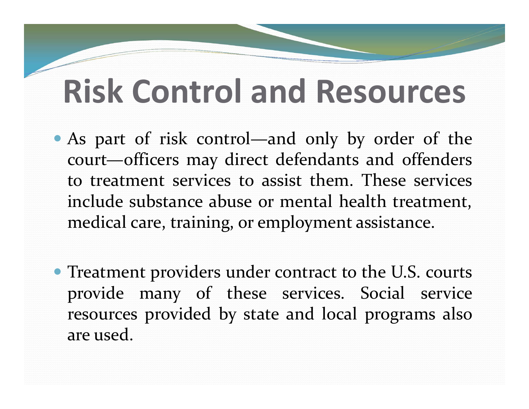## **Risk Control and Resources**

- As par<sup>t</sup> of risk control—and only by order of the court—officers may direct defendants and offenders to treatment services to assist them. These servicesinclude substance abuse or mental health treatment, medical care, training, or employment assistance.
- Treatment providers under contract to the U.S. courts provide many of these services. Social service resources provided by state and local programs also are used.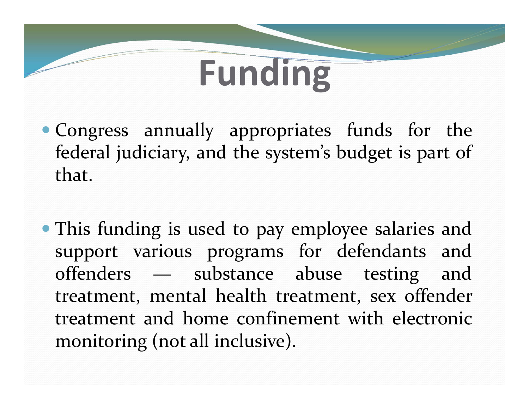## **Funding**

- Congress annually appropriates funds for the federal judiciary, and the system's budget is par<sup>t</sup> of that.
- This funding is used to pay employee salaries and suppor<sup>t</sup> various programs for defendants and offenders — substance abuse testing and treatment, mental health treatment, sex offender treatment and home confinement with electronic monitoring (not all inclusive).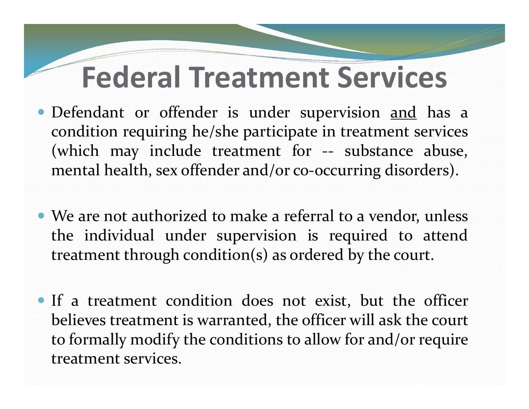## **Federal Treatment Services**

- Defendant or offender is under supervision and has a condition requiring he/she participate in treatment services (which may include treatment for ‐‐ substance abuse, mental health, sex offender and/or co-occurring disorders).
- We are not authorized to make <sup>a</sup> referral to <sup>a</sup> vendor, unless the individual under supervision is required to attend treatment through condition(s) as ordered by the court.
- If <sup>a</sup> treatment condition does not exist, but the officer believes treatment is warranted, the officer will ask the court to formally modify the conditions to allow for and/or require treatment services.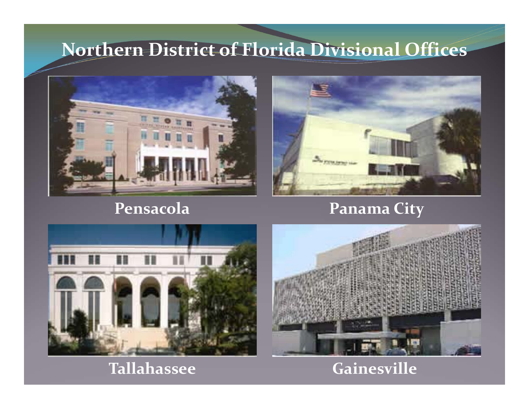#### **Northern District of Florida Divisional Offices**



#### **Pensacola Panama**



#### **Panama City**





#### **Gainesville**

#### **Tallahassee**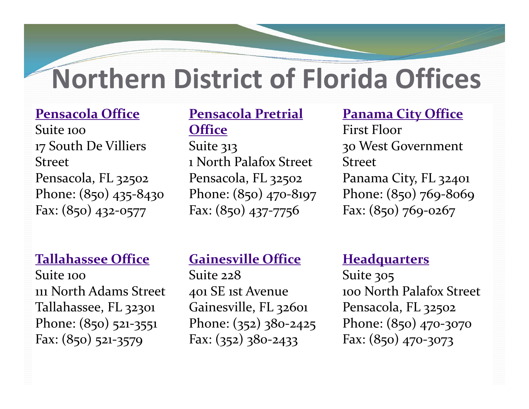### **Northern District of Florida Offices**

#### **Pensacola Office**

Suite 10017 South De Villiers StreetPensacola, FL 32502 Phone: (850) <sup>435</sup>‐8430 Fax: (850) <sup>432</sup>‐<sup>0577</sup>

#### **Pensacola Pretrial Office**

Fax: (850) 437-7756 Suite 313 1 North Palafox Street Pensacola, FL 32502 Phone: (850) <sup>470</sup>‐8197

**Panama City Office** First Floor 30 West Government StreetPanama City, FL 32401 Phone: (850) 769‐8069 Fax: (850) 769‐0267

#### **Tallahassee Office**

Suite 100111 North Adams Street Tallahassee, FL 32301 Phone: (850) 521-3551 Fax: (850) <sup>521</sup>‐<sup>3579</sup>

#### **Gainesville Office**

Suite 228401 SE 1st Avenue Gainesville, FL 32601 Phone: (352) <sup>3</sup>80‐<sup>2425</sup> Fax: (352) <sup>3</sup>80‐<sup>2433</sup>

#### **Headquarters**

Suite 305 100 North Palafox Street Pensacola, FL 32502 Phone: (850) <sup>470</sup>‐<sup>3070</sup> Fax: (850) <sup>470</sup>‐<sup>3073</sup>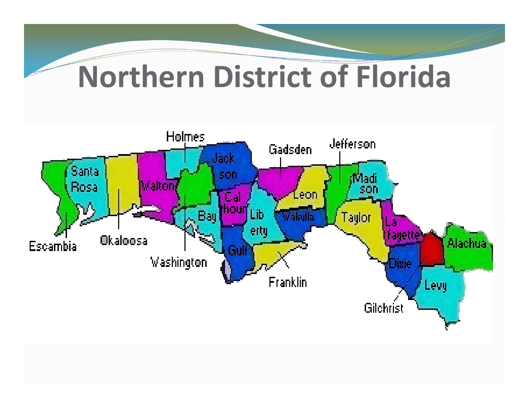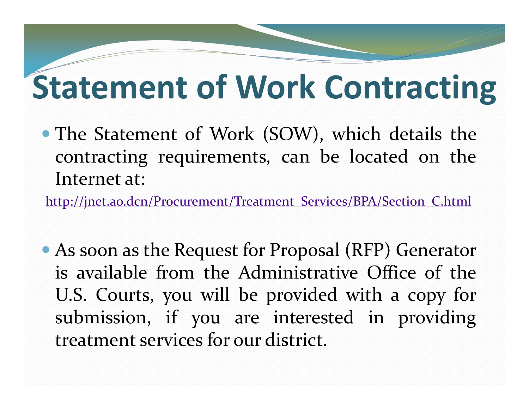## **Statement of Work Contracting**

 The Statement of Work (SOW), which details the contracting requirements, can be located on the Internet at:

http://jnet.ao.dcn/Procurement/Treatment\_Services/BPA/Section\_C.html

 As soon as the Request for Proposal (RFP) Generator is available from the Administrative Office of theU.S. Courts, you will be provided with <sup>a</sup> copy for submission, if you are interested in providing treatment services for our district.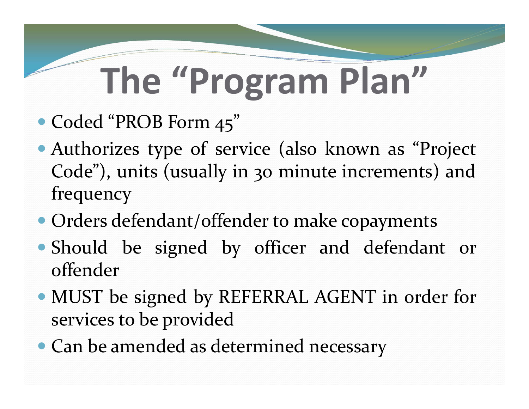# **The "Program Plan"**

- Coded "PROB Form 45"
- Authorizes type of service (also known as "Project Code"), units (usually in <sup>30</sup> minute increments) and frequency
- Orders defendant/offender to make copayments
- Should be signed by officer and defendant or offender
- MUST be signed by REFERRAL AGENT in order for services to be provided
- Can be amended as determined necessary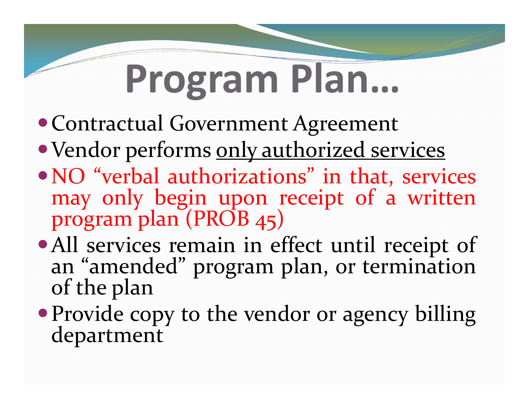# **Program Plan…**

- Contractual Government Agreement
- Vendor performs only authorized services
- NO "verbal authorizations" in that, services may only begin upon receipt of <sup>a</sup> written program <sup>p</sup>lan (PROB 45)
- All services remain in effect until receipt of an "amended" program <sup>p</sup>lan, or termination of the <sup>p</sup>lan
- Provide copy to the vendor or agency billing department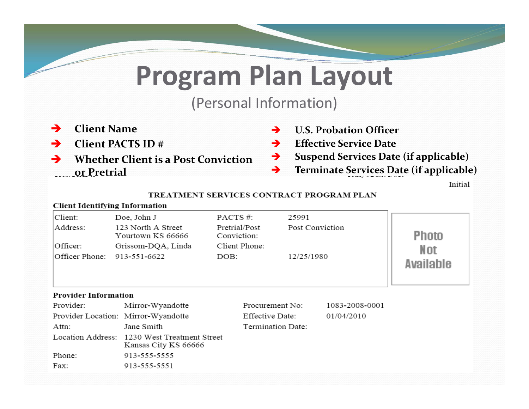### **Program Plan Layout**

#### (Personal Information)

- $\rightarrow$ **Client Name**
- $\rightarrow$ **Client PACTS ID #**
- → **Whether Client is <sup>a</sup> Post Conviction or Pretrial**
- → **U.S. Probation Officer**
- → **Effective Service Date**
- → **Suspend Services Date (if applicable)**
- $\rightarrow$ **Terminate Services Date (if applicable)**

Initial

#### TREATMENT SERVICES CONTRACT PROGRAM PLAN

#### **Client Identifying Information**

| Client:<br>Address:<br>Officer:<br> Officer Phone: | Doe, John J<br>123 North A Street<br>Yourtown KS 66666<br>Grissom-DQA, Linda<br>913-551-6622 | PACTS#:<br>Pretrial/Post<br>Conviction:<br>Client Phone:<br>DOB: | 25991<br>Post Conviction<br>12/25/1980 |                | Photo<br>Not<br>Available |  |  |  |  |
|----------------------------------------------------|----------------------------------------------------------------------------------------------|------------------------------------------------------------------|----------------------------------------|----------------|---------------------------|--|--|--|--|
| <b>Provider Information</b>                        |                                                                                              |                                                                  |                                        |                |                           |  |  |  |  |
| Provider:                                          | Mirror-Wyandotte                                                                             | Procurement No:                                                  |                                        | 1083-2008-0001 |                           |  |  |  |  |
|                                                    | Provider Location: Mirror-Wyandotte                                                          | Effective Date:                                                  |                                        | 01/04/2010     |                           |  |  |  |  |
| Attn:                                              | Jane Smith                                                                                   | Termination Date:                                                |                                        |                |                           |  |  |  |  |
|                                                    | Location Address: 1230 West Treatment Street<br>Kansas City KS 66666                         |                                                                  |                                        |                |                           |  |  |  |  |
| Phone:                                             | 913-555-5555                                                                                 |                                                                  |                                        |                |                           |  |  |  |  |
| Fax:                                               | 913-555-5551                                                                                 |                                                                  |                                        |                |                           |  |  |  |  |
|                                                    |                                                                                              |                                                                  |                                        |                |                           |  |  |  |  |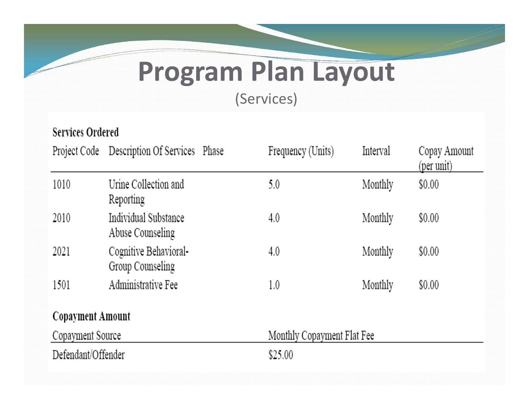### **Program Plan Layout**

(Services)

| <b>Services Ordered</b> |                                            |                            |                   |          |                            |  |  |  |
|-------------------------|--------------------------------------------|----------------------------|-------------------|----------|----------------------------|--|--|--|
|                         | Project Code Description Of Services Phase |                            | Frequency (Units) | Interval | Copay Amount<br>(per unit) |  |  |  |
| 1010                    | Urine Collection and<br>Reporting          |                            | 5.0               | Monthly  | \$0.00                     |  |  |  |
| 2010                    | Individual Substance<br>Abuse Counseling   |                            | 4.0               | Monthly  | \$0.00                     |  |  |  |
| 2021                    | Cognitive Behavioral-<br>Group Counseling  |                            | 4.0               | Monthly  | \$0.00                     |  |  |  |
| 1501                    | Administrative Fee                         |                            | 1.0               | Monthly  | \$0.00                     |  |  |  |
| Copayment Amount        |                                            |                            |                   |          |                            |  |  |  |
| Copayment Source        |                                            | Monthly Copayment Flat Fee |                   |          |                            |  |  |  |
| Defendant/Offender      |                                            | \$25.00                    |                   |          |                            |  |  |  |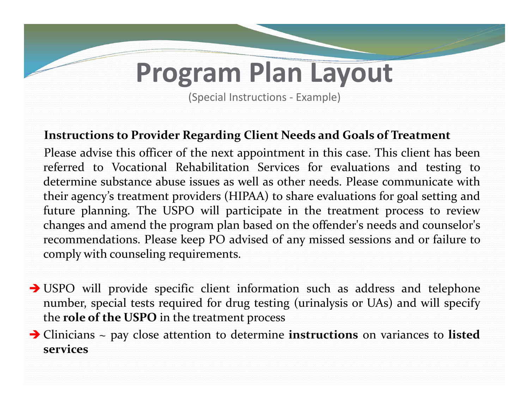### **Program Plan Layout**

(Special Instructions ‐ Example)

#### **Instructions to Provider Regarding Client Needs and Goals of Treatment**

Please advise this officer of the next appointment in this case. This client has been referred to Vocational Rehabilitation Services for evaluations and testing to determine substance abuse issues as well as other needs. Please communicate withtheir agency's treatment providers (HIPAA) to share evaluations for goal setting and future planning. The USPO will participate in the treatment process to review changes and amend the program plan based on the offender's needs and counselor's recommendations. Please keep PO advised of any missed sessions and or failure to comply with counseling requirements.

- USPO will provide specific client information such as address and telephone number, special tests required for drug testing (urinalysis or UAs) and will specify the **role of the USPO** in the treatment process
- Clinicians <sup>~</sup> pay close attention to determine **instructions** on variances to **listed services**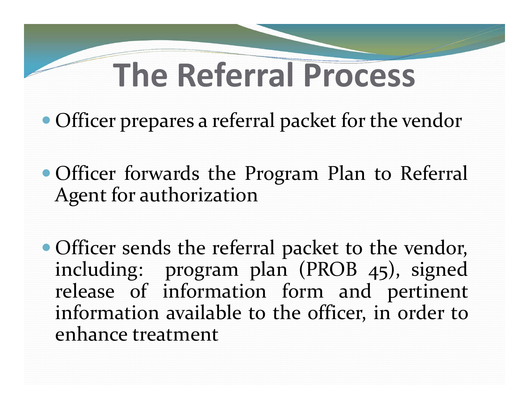## **The Referral Process**

- Officer prepares <sup>a</sup> referral packet for the vendor
- Officer forwards the Program Plan to Referral Agent for authorization
- Officer sends the referral packet to the vendor, including: program <sup>p</sup>lan (PROB 45), signed release of information form and pertinent information available to the officer, in order to enhance treatment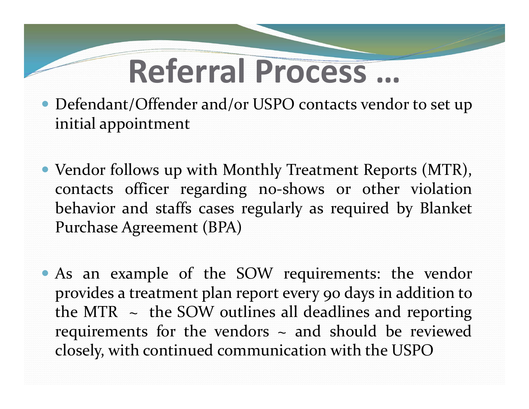## **Referral Process …**

- Defendant/Offender and/or USPO contacts vendor to set up initial appointment
- Vendor follows up with Monthly Treatment Reports (MTR), contacts officer regarding no‐shows or other violation behavior and staffs cases regularly as required by Blanket Purchase Agreement (BPA)

 As an example of the SOW requirements: the vendor provides <sup>a</sup> treatment plan repor<sup>t</sup> every 90 days in addition to the MTR  $\sim$  the SOW outlines all deadlines and reporting requirements for the vendors  $\sim$  and should be reviewed closely, with continued communication with the USPO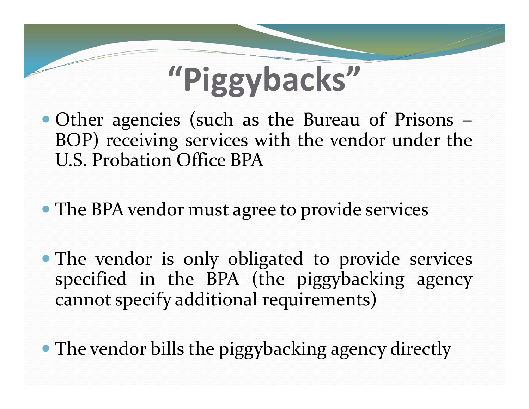

- Other agencies (such as the Bureau of Prisons BOP) receiving services with the vendor under the U.S. Probation Office BPA
- The BPA vendor must agree to provide services
- The vendor is only obligated to provide services specified in the BPA (the <sup>p</sup>iggybacking agency cannot specify additional requirements)
- The vendor bills the piggybacking agency directly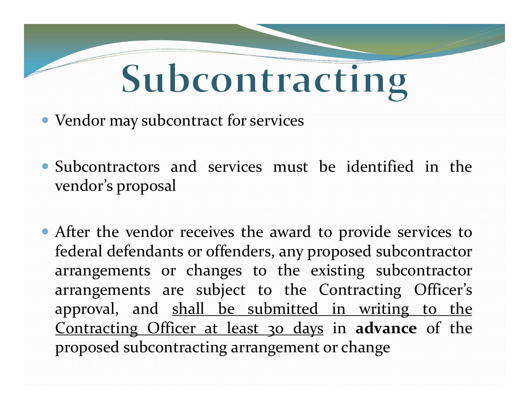# Subcontracting

- Vendor may subcontract for services
- Subcontractors and services must be identified in the vendor's proposal
- After the vendor receives the award to provide services to federal defendants or offenders, any proposed subcontractor arrangements or changes to the existing subcontractor arrangements are subject to the Contracting Officer's approval, and shall be submitted in writing to the Contracting Officer at least 30 days in **advance** of the proposed subcontracting arrangemen<sup>t</sup> or change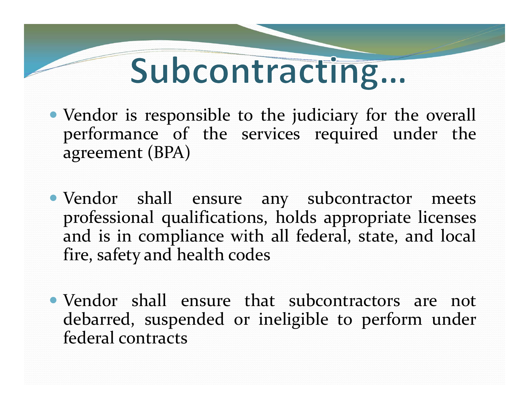## Subcontracting...

- Vendor is responsible to the judiciary for the overall performance of the services required under the agreemen<sup>t</sup> (BPA)
- Vendor shall ensure any subcontractor meets professional qualifications, holds appropriate licenses and is in compliance with all federal, state, and local fire, safety and health codes
- Vendor shall ensure that subcontractors are not debarred, suspended or ineligible to perform under federal contracts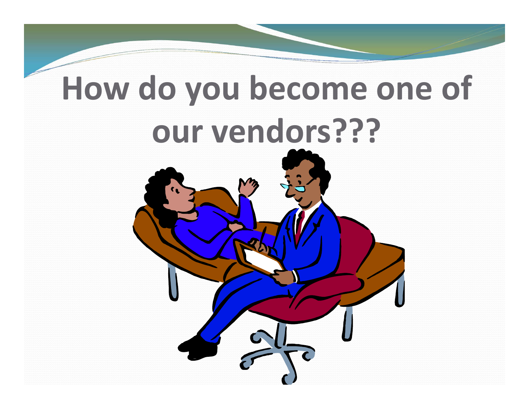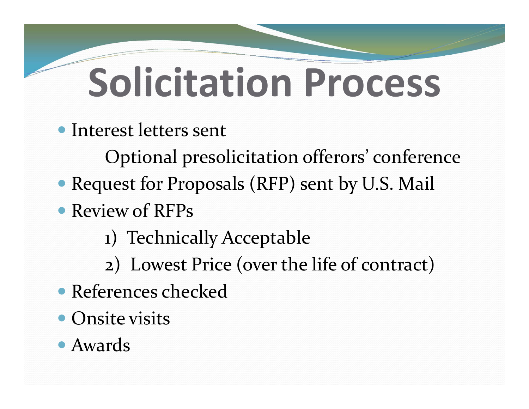# **Solicitation Process**

Interest letters sent

Optional presolicitation offerors' conference

- Request for Proposals (RFP) sent by U.S. Mail
- Review of RFPs
	- 1) Technically Acceptable
	- 2) Lowest Price (over the life of contract)
- References checked
- **Onsite visits**

#### Awards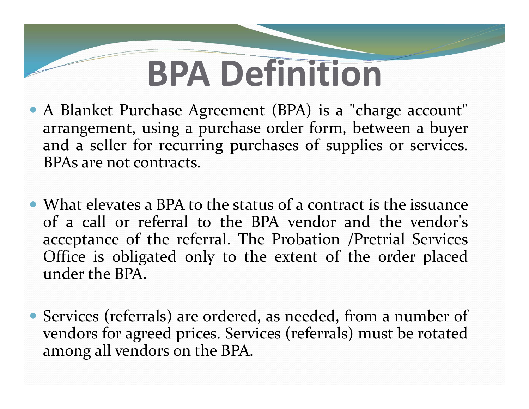## **BPA Definition**

 <sup>A</sup> Blanket Purchase Agreement (BPA) is <sup>a</sup> "charge account" arrangement, using <sup>a</sup> purchase order form, between <sup>a</sup> buyer and <sup>a</sup> seller for recurring purchases of supplies or services. BPAs are not contracts.

 What elevates <sup>a</sup> BPA to the status of <sup>a</sup> contract is the issuance of <sup>a</sup> call or referral to the BPA vendor and the vendor's acceptance of the referral. The Probation /Pretrial Services Office is obligated only to the extent of the order placed under the BPA.

 Services (referrals) are ordered, as needed, from <sup>a</sup> number of vendors for agreed prices. Services (referrals) must be rotated among all vendors on the BPA.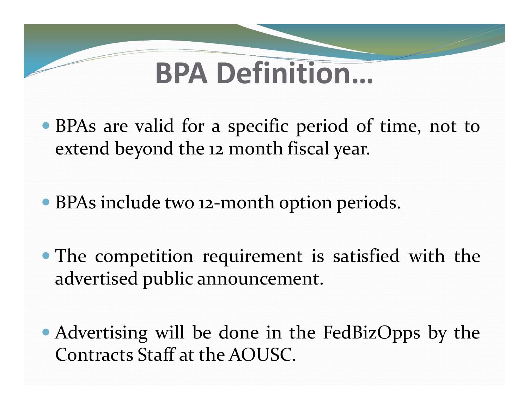### **BPA Definition…**

- BPAs are valid for <sup>a</sup> specific period of time, not to extend beyond the <sup>12</sup> month fiscal year.
- BPAs include two <sup>12</sup>‐month option periods.
- The competition requirement is satisfied with the advertised public announcement.
- Advertising will be done in the FedBizOpps by the Contracts Staff at the AOUSC.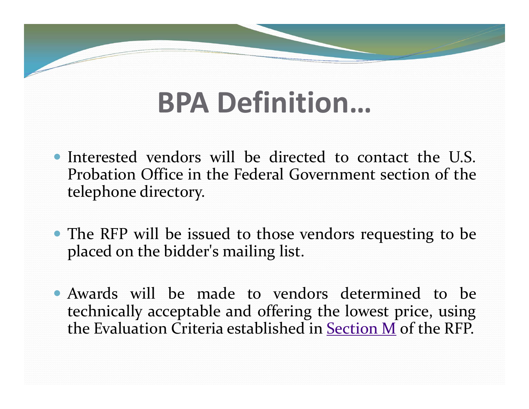### **BPA Definition…**

- Interested vendors will be directed to contact the U.S. Probation Office in the Federal Government section of the telephone directory.
- The RFP will be issued to those vendors requesting to be placed on the bidder's mailing list.
- Awards will be made to vendors determined to be technically acceptable and offering the lowest price, using the Evaluation Criteria established in Section M of the RFP.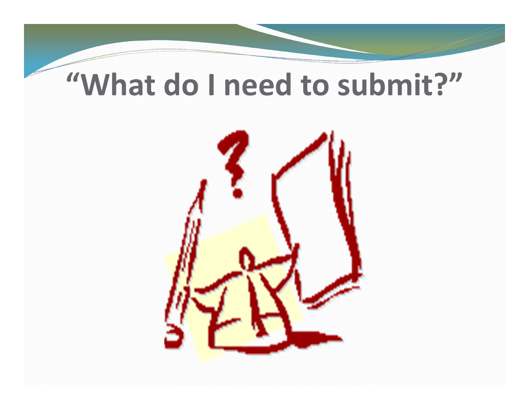### **"What do I need to submit?"**

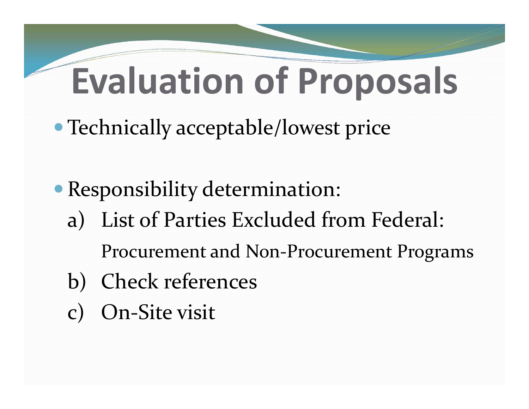## **Evaluation of Proposals**

- Technically acceptable/lowest price
- Responsibility determination: a) List of Parties Excluded from Federal: Procurement and Non‐Procurement Programs b) Check references c) On‐Site visit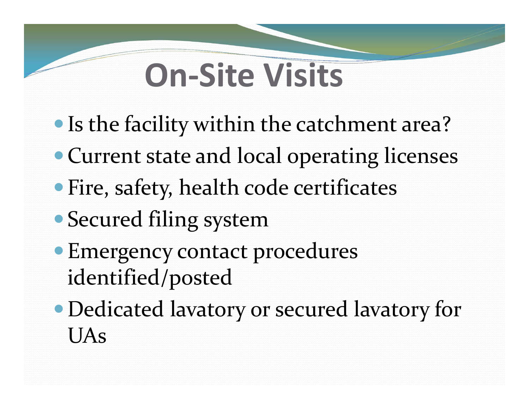## **On‐Site Visits**

- Is the facility within the catchment area?
- Current state and local operating licenses
- Fire, safety, health code certificates
- Secured filing system
- Emergency contact procedures identified/posted
- Dedicated lavatory or secured lavatory for UAs